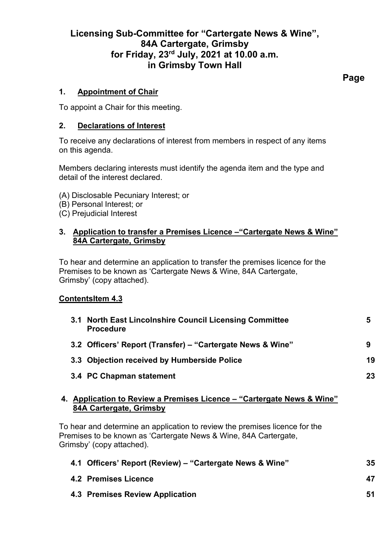# **Licensing Sub-Committee for "Cartergate News & Wine", 84A Cartergate, Grimsby for Friday, 23rd July, 2021 at 10.00 a.m. in Grimsby Town Hall**

## **1. Appointment of Chair**

To appoint a Chair for this meeting.

### **2. Declarations of Interest**

To receive any declarations of interest from members in respect of any items on this agenda.

Members declaring interests must identify the agenda item and the type and detail of the interest declared.

- (A) Disclosable Pecuniary Interest; or
- (B) Personal Interest; or
- (C) Prejudicial Interest

### **3. Application to transfer a Premises Licence –"Cartergate News & Wine" 84A Cartergate, Grimsby**

To hear and determine an application to transfer the premises licence for the Premises to be known as 'Cartergate News & Wine, 84A Cartergate, Grimsby' (copy attached).

## **ContentsItem 4.3**

| 3.1 North East Lincolnshire Council Licensing Committee<br><b>Procedure</b>                                                                                                      | 5  |
|----------------------------------------------------------------------------------------------------------------------------------------------------------------------------------|----|
| 3.2 Officers' Report (Transfer) – "Cartergate News & Wine"                                                                                                                       | 9  |
| 3.3 Objection received by Humberside Police                                                                                                                                      | 19 |
| 3.4 PC Chapman statement                                                                                                                                                         | 23 |
| 4. Application to Review a Premises Licence – "Cartergate News & Wine"<br>84A Cartergate, Grimsby<br>To hear and determine an application to review the premises licence for the |    |
| Premises to be known as 'Cartergate News & Wine, 84A Cartergate,<br>Grimsby' (copy attached).                                                                                    |    |
| 4.1 Officers' Report (Review) – "Cartergate News & Wine"                                                                                                                         | 35 |

**4.2 Premises Licence 47 4.3 Premises Review Application 51**